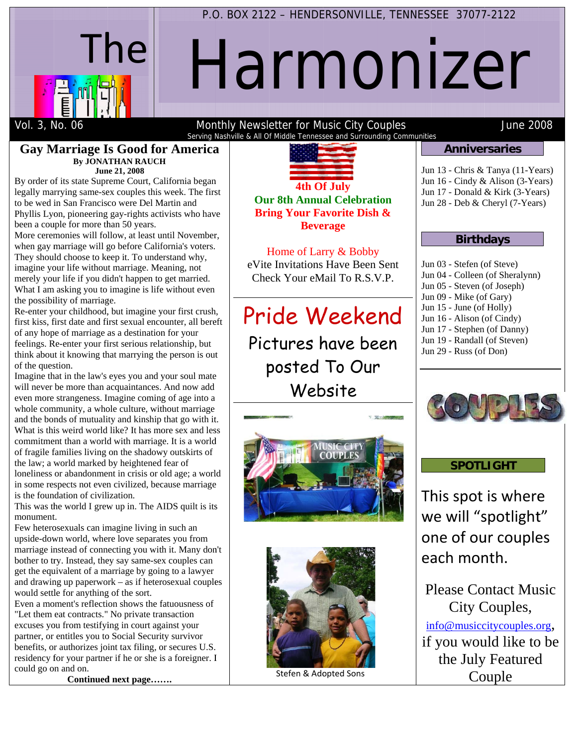

# Harmonizer

P.O. BOX 2122 - HENDERSONVILLE, TENNESSEE 37077-2122

Monthly Newsletter for Music City Couples Serving Nashville & All Of Middle Tennessee and Surrounding Communitie

#### June 20 008

#### **Gay M Marriage I Is Good fo r America aBy JONATHAN RAUCH Jun ne 21, 2008**

By order of its state Supreme Court, California began By order of its state Supreme Court, California began<br>legally marrying same-sex couples this week. The first to be wed in San Francisco were Del Martin and Phyllis Lyon, pioneering gay-rights activists who have been a couple for more than 50 years.

More ceremonies will follow, at least until November, when gay marriage will go before California's voters. They should choose to keep it. To understand why, imagine your life without marriage. Meaning, not merely your life if you didn't happen to get married. What I am asking you to imagine is life without even the possibility of marriage.

Re-enter your childhood, but imagine your first crush, first kiss, first date and first sexual encounter, all bereft of any hope of marriage as a destination for your feelings. Re-enter your first serious relationship, but think about it knowing that marrying the person is out of the question.

Imagine that in the law's eyes you and your soul mate will never be more than a acquaintances. And now add even more strangeness. Imagine coming of age into a whole community, a whole culture, without marriage and the bonds of mutuality and kinship that go with it What is this weird world like? It has more sex and less commitment than a world with marriage. It is a world of fragile families living on the shadowy outskirts of the law; a world marked by heightened fear of commitment than a world with marriage. It is a world<br>of fragile families living on the shadowy outskirts of<br>the law; a world marked by heightened fear of<br>loneliness or abandonment in crisis or old age; a world in some respects not even civilized, because marriage is the foundation of civilization. tted<br>ted<br>it.

This was the world I grew up in. The AIDS quilt is its monument.

Few heterosexuals can imagine living in such an upside-down world, where love separates you from marriage instead of connecting you with it. Many don bother to try. Instead, they say same-sex couples can get the equivalent of a marriage by going to a lawyer and drawing up paperwork – as if heterosexual couples would settle for anything of the sort. e<br>ts<br>n't

Even a moment's reflection shows the fatuousness of "Let them eat contracts." No private transaction excuses you from testifying in court against your partner, or entitles you to Social Security survivor benefits, or authorizes joint tax filing, or secures U.S. residency for your partner if he or she is a foreigner. I could go on and on.

**Continued** next page.......



**Our 8th Annual Celebration Bring Your Favorite Dish & Beverage** 

Home of Larry & Bobby Home of Larry & Bobby<br>eVite Invitations Have Been Sent Check Your eMail To R.S.V.P.

Pride Weekend Pictures have been p posted To Our Web bsite France Contact of the Contact of the Contact of the Contact of the Contact of the Contact of the Contact of the Contact of the Contact of the Contact of the Contact of the Contact of the Contact of the Contact of the Conta





Stefen & Ado opted Sons

# **Anniver rsaries**

es

Jun 16 - Cindy & Alison (3-Years) Jun 17 - Donald & Kirk (3-Years) Jun 28 - Deb & Cheryl (7-Years) n 13 - Chris & Tanya (11-Years)

### **Birthd days**

Jun 03 - Stefen (of Steve) Jun 04 - Colleen (of Sheralynn) Jun 05 - Steven (of Joseph) Jun 09 - Mike (of Gary) Jun 15 - June (of Holly) Jun 16 - Alison (of Cindy) Jun 17 - Stephen (of Danny) Jun n 19 - Randall (of Steven) Jun 29 - Russ (of Don)



## **SPOTL LIGHT**

This spot is where This spot is where<br>we will "spotlight" one of our couples each month.

Please Contact Music info@musiccitycouples.org, if you would like to be City C Couples, the July Featured Couple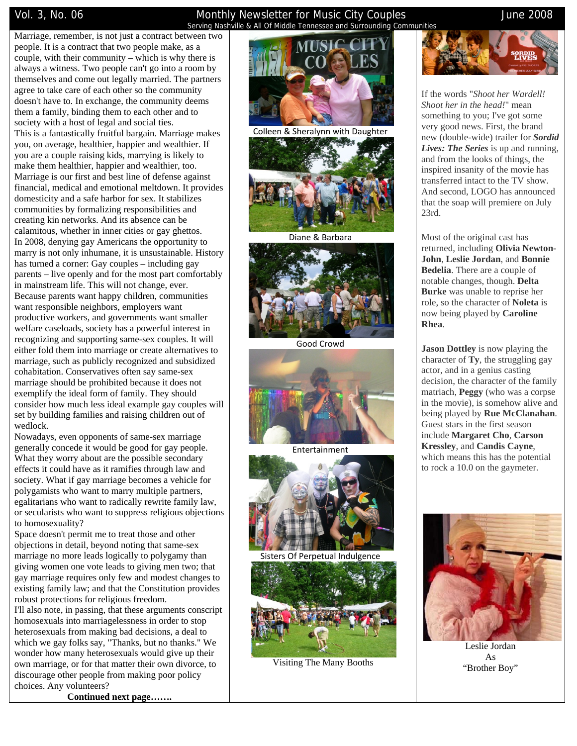Vol. 3, No. 06 **Monthly Newsletter for Music City Couples** Mune 2008 Serving Nashville & All Of Middle Tennessee and Surrounding Communities

Marriage, remember, is not just a contract between two people. It is a contract that two people make, as a couple, with their community – which is why there is always a witness. Two people can't go into a room by themselves and come out legally married. The partners agree to take care of each other so the community doesn't have to. In exchange, the community deems them a family, binding them to each other and to society with a host of legal and social ties. This is a fantastically fruitful bargain. Marriage makes you, on average, healthier, happier and wealthier. If you are a couple raising kids, marrying is likely to make them healthier, happier and wealthier, too. Marriage is our first and best line of defense against financial, medical and emotional meltdown. It provides domesticity and a safe harbor for sex. It stabilizes communities by formalizing responsibilities and creating kin networks. And its absence can be calamitous, whether in inner cities or gay ghettos. In 2008, denying gay Americans the opportunity to marry is not only inhumane, it is unsustainable. History has turned a corner: Gay couples – including gay parents – live openly and for the most part comfortably in mainstream life. This will not change, ever. Because parents want happy children, communities want responsible neighbors, employers want productive workers, and governments want smaller welfare caseloads, society has a powerful interest in recognizing and supporting same-sex couples. It will either fold them into marriage or create alternatives to marriage, such as publicly recognized and subsidized cohabitation. Conservatives often say same-sex marriage should be prohibited because it does not exemplify the ideal form of family. They should consider how much less ideal example gay couples will set by building families and raising children out of wedlock.

Nowadays, even opponents of same-sex marriage generally concede it would be good for gay people. What they worry about are the possible secondary effects it could have as it ramifies through law and society. What if gay marriage becomes a vehicle for polygamists who want to marry multiple partners, egalitarians who want to radically rewrite family law, or secularists who want to suppress religious objections to homosexuality?

Space doesn't permit me to treat those and other objections in detail, beyond noting that same-sex marriage no more leads logically to polygamy than giving women one vote leads to giving men two; that gay marriage requires only few and modest changes to existing family law; and that the Constitution provides robust protections for religious freedom.

I'll also note, in passing, that these arguments conscript homosexuals into marriagelessness in order to stop heterosexuals from making bad decisions, a deal to which we gay folks say, "Thanks, but no thanks." We wonder how many heterosexuals would give up their own marriage, or for that matter their own divorce, to discourage other people from making poor policy choices. Any volunteers?

**Continued next page…….**

Colleen & Sheralynn with Daughter



Diane & Barbara



Good Crowd



Entertainment



Sisters Of Perpetual Indulgence



Visiting The Many Booths



If the words "*Shoot her Wardell! Shoot her in the head!*" mean something to you; I've got some very good news. First, the brand new (double-wide) trailer for *Sordid Lives: The Series* is up and running, and from the looks of things, the inspired insanity of the movie has transferred intact to the TV show. And second, LOGO has announced that the soap will premiere on July 23rd.

Most of the original cast has returned, including **Olivia Newton-John**, **Leslie Jordan**, and **Bonnie Bedelia**. There are a couple of notable changes, though. **Delta Burke** was unable to reprise her role, so the character of **Noleta** is now being played by **Caroline Rhea**.

**Jason Dottley** is now playing the character of **Ty**, the struggling gay actor, and in a genius casting decision, the character of the family matriach, **Peggy** (who was a corpse in the movie), is somehow alive and being played by **Rue McClanahan**. Guest stars in the first season include **Margaret Cho**, **Carson Kressley**, and **Candis Cayne**, which means this has the potential to rock a 10.0 on the gaymeter.



Leslie Jordan As "Brother Boy"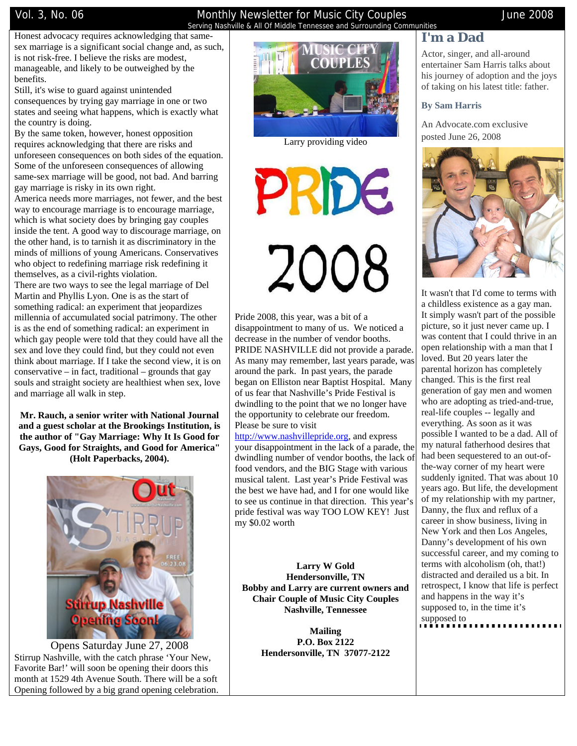#### Vol. 3, No. 06 Monthly Newsletter for Music City Couples June 2008 Serving Nashville & All Of Middle Tennessee and Surrounding Communities

Honest advocacy requires acknowledging that samesex marriage is a significant social change and, as such, is not risk-free. I believe the risks are modest, manageable, and likely to be outweighed by the benefits.

Still, it's wise to guard against unintended consequences by trying gay marriage in one or two states and seeing what happens, which is exactly what the country is doing.

By the same token, however, honest opposition requires acknowledging that there are risks and unforeseen consequences on both sides of the equation. Some of the unforeseen consequences of allowing same-sex marriage will be good, not bad. And barring gay marriage is risky in its own right.

America needs more marriages, not fewer, and the best way to encourage marriage is to encourage marriage, which is what society does by bringing gay couples inside the tent. A good way to discourage marriage, on the other hand, is to tarnish it as discriminatory in the minds of millions of young Americans. Conservatives who object to redefining marriage risk redefining it themselves, as a civil-rights violation.

There are two ways to see the legal marriage of Del Martin and Phyllis Lyon. One is as the start of something radical: an experiment that jeopardizes millennia of accumulated social patrimony. The other is as the end of something radical: an experiment in which gay people were told that they could have all the sex and love they could find, but they could not even think about marriage. If I take the second view, it is on conservative – in fact, traditional – grounds that gay souls and straight society are healthiest when sex, love and marriage all walk in step.

**Mr. Rauch, a senior writer with National Journal and a guest scholar at the Brookings Institution, is the author of "Gay Marriage: Why It Is Good for Gays, Good for Straights, and Good for America" (Holt Paperbacks, 2004).** 



Opens Saturday June 27, 2008 Stirrup Nashville, with the catch phrase 'Your New, Favorite Bar!' will soon be opening their doors this month at 1529 4th Avenue South. There will be a soft Opening followed by a big grand opening celebration.



Larry providing video

PRIDE 2008

Pride 2008, this year, was a bit of a disappointment to many of us. We noticed a decrease in the number of vendor booths. PRIDE NASHVILLE did not provide a parade. As many may remember, last years parade, was around the park. In past years, the parade began on Elliston near Baptist Hospital. Many of us fear that Nashville's Pride Festival is dwindling to the point that we no longer have the opportunity to celebrate our freedom. Please be sure to visit

http://www.nashvillepride.org, and express your disappointment in the lack of a parade, the dwindling number of vendor booths, the lack of food vendors, and the BIG Stage with various musical talent. Last year's Pride Festival was the best we have had, and I for one would like to see us continue in that direction. This year's pride festival was way TOO LOW KEY! Just my \$0.02 worth

**Larry W Gold Hendersonville, TN Bobby and Larry are current owners and Chair Couple of Music City Couples Nashville, Tennessee** 

> **Mailing P.O. Box 2122 Hendersonville, TN 37077-2122**

## **I'm a Dad**

Actor, singer, and all-around entertainer Sam Harris talks about his journey of adoption and the joys of taking on his latest title: father.

**By Sam Harris** 

An Advocate.com exclusive posted June 26, 2008



It wasn't that I'd come to terms with a childless existence as a gay man. It simply wasn't part of the possible picture, so it just never came up. I was content that I could thrive in an open relationship with a man that I loved. But 20 years later the parental horizon has completely changed. This is the first real generation of gay men and women who are adopting as tried-and-true, real-life couples -- legally and everything. As soon as it was possible I wanted to be a dad. All of my natural fatherhood desires that had been sequestered to an out-ofthe-way corner of my heart were suddenly ignited. That was about 10 years ago. But life, the development of my relationship with my partner, Danny, the flux and reflux of a career in show business, living in New York and then Los Angeles, Danny's development of his own successful career, and my coming to terms with alcoholism (oh, that!) distracted and derailed us a bit. In retrospect, I know that life is perfect and happens in the way it's supposed to, in the time it's supposed to